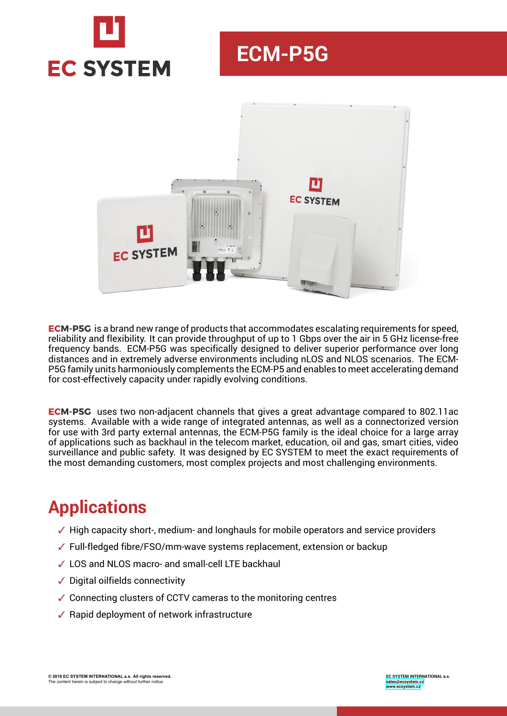

# **ECM-P5G**



**ECM-P5G** is a brand new range of products that accommodates escalating requirements for speed, reliability and flexibility. It can provide throughput of up to 1 Gbps over the air in 5 GHz license-free frequency bands. ECM-P5G was specifically designed to deliver superior performance over long distances and in extremely adverse environments including nLOS and NLOS scenarios. The ECM-P5G family units harmoniously complements the ECM-P5 and enables to meet accelerating demand for cost-effectively capacity under rapidly evolving conditions.

**ECM-P5G** uses two non-adjacent channels that gives a great advantage compared to 802.11ac systems. Available with a wide range of integrated antennas, as well as a connectorized version for use with 3rd party external antennas, the ECM-P5G family is the ideal choice for a large array of applications such as backhaul in the telecom market, education, oil and gas, smart cities, video surveillance and public safety. It was designed by EC SYSTEM to meet the exact requirements of the most demanding customers, most complex projects and most challenging environments.

# **Applications**

- $\checkmark$  High capacity short-, medium- and longhauls for mobile operators and service providers
- ✓ Full-fledged fibre/FSO/mm-wave systems replacement, extension or backup
- ✓ LOS and NLOS macro- and small-cell LTE backhaul
- ✓ Digital oilfields connectivity
- ✓ Connecting clusters of CCTV cameras to the monitoring centres
- ✓ Rapid deployment of network infrastructure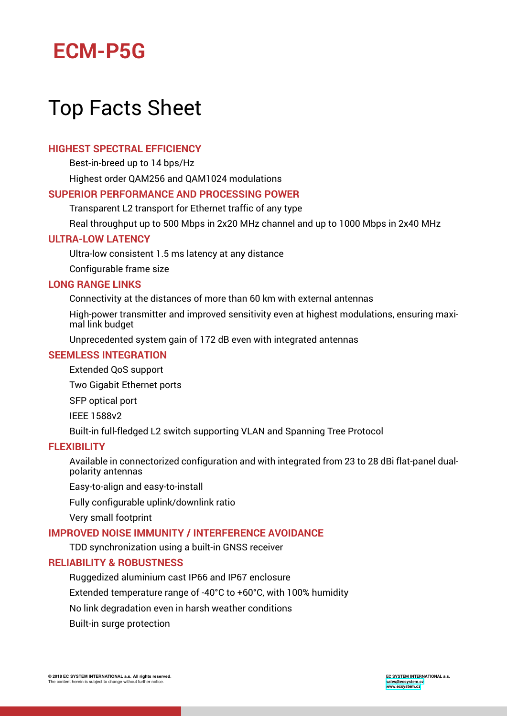# **ECM-P5G**

# Top Facts Sheet

### **HIGHEST SPECTRAL EFFICIENCY**

Best-in-breed up to 14 bps/Hz

Highest order QAM256 and QAM1024 modulations

#### **SUPERIOR PERFORMANCE AND PROCESSING POWER**

Transparent L2 transport for Ethernet traffic of any type

Real throughput up to 500 Mbps in 2x20 MHz channel and up to 1000 Mbps in 2x40 MHz

#### **ULTRA-LOW LATENCY**

Ultra-low consistent 1.5 ms latency at any distance

Configurable frame size

#### **LONG RANGE LINKS**

Connectivity at the distances of more than 60 km with external antennas

High-power transmitter and improved sensitivity even at highest modulations, ensuring maximal link budget

Unprecedented system gain of 172 dB even with integrated antennas

#### **SEEMLESS INTEGRATION**

Extended QoS support

Two Gigabit Ethernet ports

SFP optical port

IEEE 1588v2

Built-in full-fledged L2 switch supporting VLAN and Spanning Tree Protocol

#### **FLEXIBILITY**

Available in connectorized configuration and with integrated from 23 to 28 dBi flat-panel dualpolarity antennas

Easy-to-align and easy-to-install

Fully configurable uplink/downlink ratio

Very small footprint

#### **IMPROVED NOISE IMMUNITY / INTERFERENCE AVOIDANCE**

TDD synchronization using a built-in GNSS receiver

#### **RELIABILITY & ROBUSTNESS**

Ruggedized aluminium cast IP66 and IP67 enclosure

Extended temperature range of -40°C to +60°C, with 100% humidity

No link degradation even in harsh weather conditions

Built-in surge protection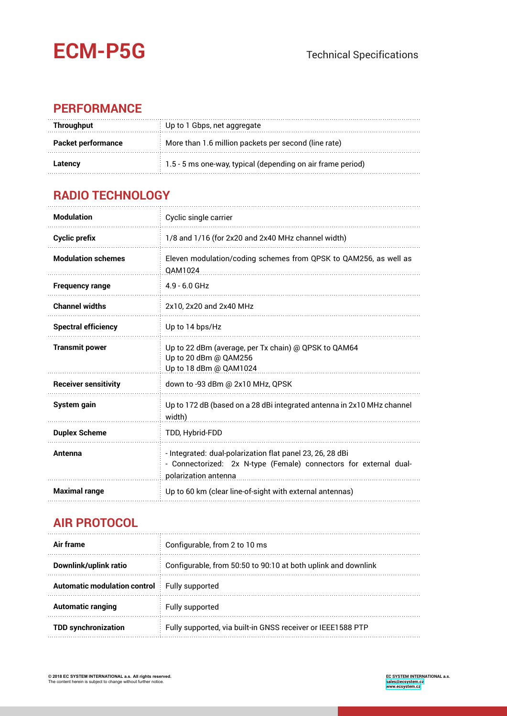

## **PERFORMANCE**

| Throughput                                                                        | Up to 1 Gbps, net aggregate                                       |  |  |  |
|-----------------------------------------------------------------------------------|-------------------------------------------------------------------|--|--|--|
| More than 1.6 million packets per second (line rate)<br><b>Packet performance</b> |                                                                   |  |  |  |
| Latencv                                                                           | $\pm$ 1.5 - 5 ms one-way, typical (depending on air frame period) |  |  |  |

## **RADIO TECHNOLOGY**

| <b>Modulation</b>           | Cyclic single carrier                                                                                                                                  |  |  |
|-----------------------------|--------------------------------------------------------------------------------------------------------------------------------------------------------|--|--|
| <b>Cyclic prefix</b>        | 1/8 and 1/16 (for 2x20 and 2x40 MHz channel width)                                                                                                     |  |  |
| <b>Modulation schemes</b>   | Eleven modulation/coding schemes from QPSK to QAM256, as well as<br><b>QAM1024</b>                                                                     |  |  |
| <b>Frequency range</b>      | $4.9 - 6.0$ GHz                                                                                                                                        |  |  |
| <b>Channel widths</b>       | 2x10, 2x20 and 2x40 MHz                                                                                                                                |  |  |
| <b>Spectral efficiency</b>  | Up to 14 bps/Hz                                                                                                                                        |  |  |
| <b>Transmit power</b>       | Up to 22 dBm (average, per Tx chain) @ QPSK to QAM64<br>Up to 20 dBm @ QAM256<br>Up to 18 dBm @ QAM1024                                                |  |  |
| <b>Receiver sensitivity</b> | down to -93 dBm @ 2x10 MHz, QPSK                                                                                                                       |  |  |
| System gain                 | Up to 172 dB (based on a 28 dBi integrated antenna in 2x10 MHz channel<br>width)                                                                       |  |  |
| <b>Duplex Scheme</b>        | TDD, Hybrid-FDD                                                                                                                                        |  |  |
| Antenna                     | - Integrated: dual-polarization flat panel 23, 26, 28 dBi<br>- Connectorized: 2x N-type (Female) connectors for external dual-<br>polarization antenna |  |  |
| <b>Maximal range</b>        | Up to 60 km (clear line-of-sight with external antennas)                                                                                               |  |  |

## **AIR PROTOCOL**

| Air frame                                           | Configurable, from 2 to 10 ms                                 |  |  |
|-----------------------------------------------------|---------------------------------------------------------------|--|--|
| Downlink/uplink ratio                               | Configurable, from 50:50 to 90:10 at both uplink and downlink |  |  |
| <b>Automatic modulation control</b> Fully supported |                                                               |  |  |
| <b>Automatic ranging</b>                            | Fully supported                                               |  |  |
| <b>TDD synchronization</b>                          | Fully supported, via built-in GNSS receiver or IEEE1588 PTP   |  |  |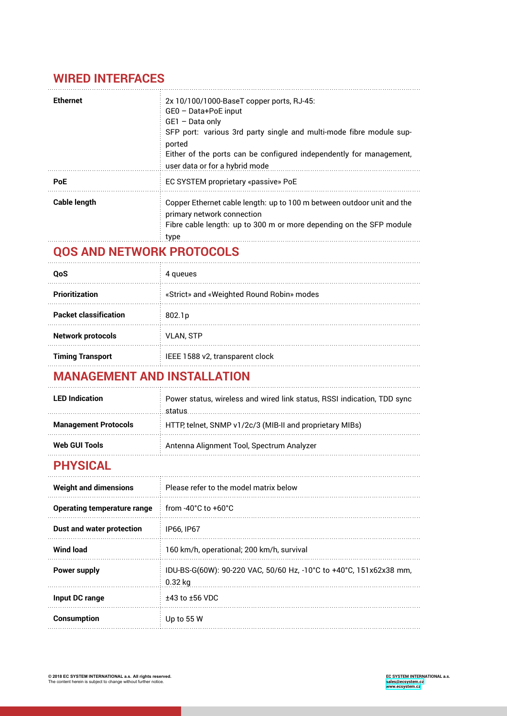## **WIRED INTERFACES**

| <b>Ethernet</b>     | 2x 10/100/1000-BaseT copper ports, RJ-45:<br>GEO - Data+PoE input<br>GE1 - Data only<br>SFP port: various 3rd party single and multi-mode fibre module sup-<br>ported<br>Either of the ports can be configured independently for management,<br>user data or for a hybrid mode |
|---------------------|--------------------------------------------------------------------------------------------------------------------------------------------------------------------------------------------------------------------------------------------------------------------------------|
| <b>PoE</b>          | EC SYSTEM proprietary «passive» PoE                                                                                                                                                                                                                                            |
| <b>Cable length</b> | Copper Ethernet cable length: up to 100 m between outdoor unit and the<br>primary network connection<br>Fibre cable length: up to 300 m or more depending on the SFP module<br>type                                                                                            |

## **QOS AND NETWORK PROTOCOLS**

| OoS                          | queues                                    |  |  |  |
|------------------------------|-------------------------------------------|--|--|--|
| <b>Prioritization</b>        | «Strict» and «Weighted Round Robin» modes |  |  |  |
| <b>Packet classification</b> | 802.1 <sub>p</sub>                        |  |  |  |
| <b>Network protocols</b>     | <b>VLAN, STP</b>                          |  |  |  |
| <b>Timing Transport</b>      | IEEE 1588 v2, transparent clock           |  |  |  |

## **MANAGEMENT AND INSTALLATION**

| <b>LED</b> Indication       | $\pm$ Power status, wireless and wired link status, RSSI indication, TDD sync<br>status |  |  |
|-----------------------------|-----------------------------------------------------------------------------------------|--|--|
| <b>Management Protocols</b> | HTTP, telnet, SNMP v1/2c/3 (MIB-II and proprietary MIBs)                                |  |  |
| Web GUI Tools               | Antenna Alignment Tool, Spectrum Analyzer                                               |  |  |

## **PHYSICAL**

| <b>Weight and dimensions</b> | Please refer to the model matrix below                                          |  |  |  |
|------------------------------|---------------------------------------------------------------------------------|--|--|--|
| Operating temperature range  | $\pm$ from -40°C to +60°C.                                                      |  |  |  |
| Dust and water protection    | IP66. IP67                                                                      |  |  |  |
| <b>Wind load</b>             | 160 km/h, operational; 200 km/h, survival                                       |  |  |  |
| Power supply                 | IDU-BS-G(60W): 90-220 VAC, 50/60 Hz, -10°C to +40°C, 151x62x38 mm,<br>$0.32$ kg |  |  |  |
| Input DC range               | $±43$ to $±56$ VDC                                                              |  |  |  |
| <b>Consumption</b>           | Up to 55 W                                                                      |  |  |  |